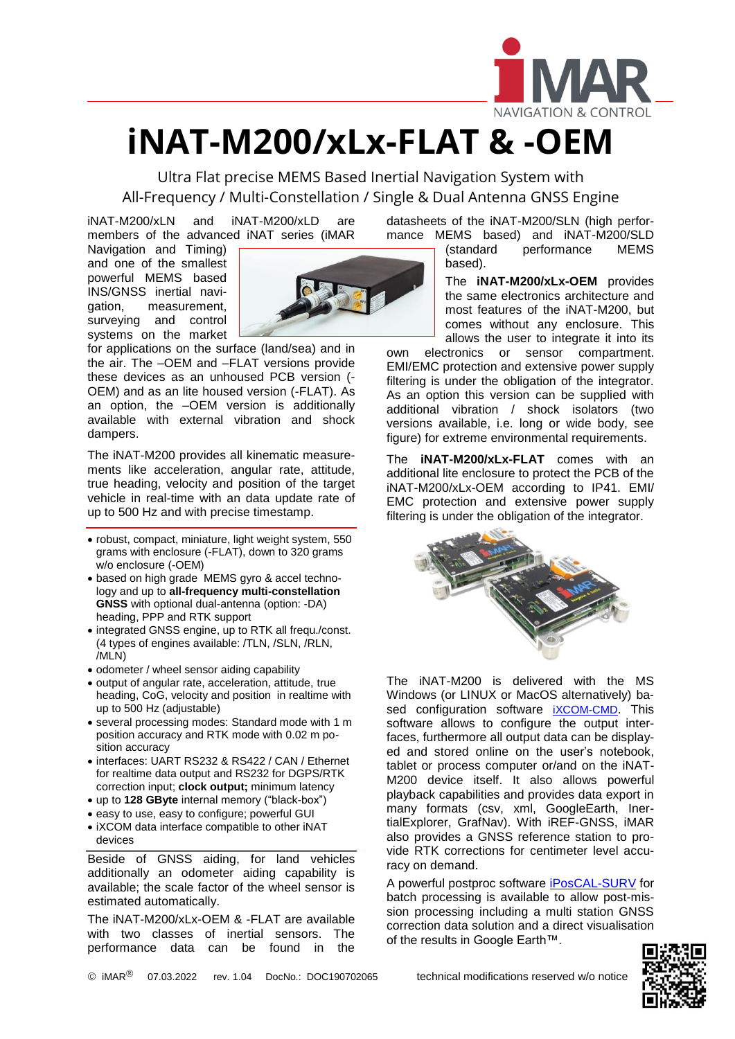

## **iNAT-M200/xLx-FLAT & -OEM**

Ultra Flat precise MEMS Based Inertial Navigation System with All-Frequency / Multi-Constellation / Single & Dual Antenna GNSS Engine

iNAT-M200/xLN and iNAT-M200/xLD are members of the advanced iNAT series (iMAR

Navigation and Timing) and one of the smallest powerful MEMS based INS/GNSS inertial navigation, measurement, surveying and control systems on the market



for applications on the surface (land/sea) and in the air. The –OEM and –FLAT versions provide these devices as an unhoused PCB version (- OEM) and as an lite housed version (-FLAT). As an option, the –OEM version is additionally available with external vibration and shock dampers.

The iNAT-M200 provides all kinematic measurements like acceleration, angular rate, attitude, true heading, velocity and position of the target vehicle in real-time with an data update rate of up to 500 Hz and with precise timestamp.

- robust, compact, miniature, light weight system, 550 grams with enclosure (-FLAT), down to 320 grams w/o enclosure (-OEM)
- based on high grade MEMS gyro & accel technology and up to **all-frequency multi-constellation GNSS** with optional dual-antenna (option: -DA) heading, PPP and RTK support
- integrated GNSS engine, up to RTK all frequ./const. (4 types of engines available: /TLN, /SLN, /RLN, /MLN)
- odometer / wheel sensor aiding capability
- output of angular rate, acceleration, attitude, true heading, CoG, velocity and position in realtime with up to 500 Hz (adjustable)
- several processing modes: Standard mode with 1 m position accuracy and RTK mode with 0.02 m position accuracy
- interfaces: UART RS232 & RS422 / CAN / Ethernet for realtime data output and RS232 for DGPS/RTK correction input; **clock output;** minimum latency
- up to **128 GByte** internal memory ("black-box")
- easy to use, easy to configure; powerful GUI
- iXCOM data interface compatible to other iNAT devices

Beside of GNSS aiding, for land vehicles additionally an odometer aiding capability is available; the scale factor of the wheel sensor is estimated automatically.

The iNAT-M200/xLx-OEM & -FLAT are available with two classes of inertial sensors. The performance data can be found in the

datasheets of the iNAT-M200/SLN (high performance MEMS based) and iNAT-M200/SLD<br>
(standard performance MEMS

L

performance based).

The **iNAT-M200/xLx-OEM** provides the same electronics architecture and most features of the iNAT-M200, but comes without any enclosure. This allows the user to integrate it into its

own electronics or sensor compartment. EMI/EMC protection and extensive power supply filtering is under the obligation of the integrator. As an option this version can be supplied with additional vibration / shock isolators (two versions available, i.e. long or wide body, see figure) for extreme environmental requirements.

The **iNAT-M200/xLx-FLAT** comes with an additional lite enclosure to protect the PCB of the iNAT-M200/xLx-OEM according to IP41. EMI/ EMC protection and extensive power supply filtering is under the obligation of the integrator.



The iNAT-M200 is delivered with the MS Windows (or LINUX or MacOS alternatively) based configuration software *[iXCOM-CMD](https://www.imar-navigation.de/en/products/by-product-names/item/ixcom-cmd-command-software-inat-inertial-navigation-gyro-ins-gps-gui-sbg-advancednavigation-xsense-ixblue-applanix-novatel-span-vectornav-oxford-genesys-trimble-sagem-thales)*. This software allows to configure the output interfaces, furthermore all output data can be displayed and stored online on the user's notebook, tablet or process computer or/and on the iNAT-M200 device itself. It also allows powerful playback capabilities and provides data export in many formats (csv, xml, GoogleEarth, InertialExplorer, GrafNav). With iREF-GNSS, iMAR also provides a GNSS reference station to provide RTK corrections for centimeter level accuracy on demand.

A powerful postproc software [iPosCAL-SURV](https://www.imar-navigation.de/de/produkte-uebersicht/product-overview-by-product/item/iposcal-post-processing-software-for-ins-gnss-odo-data?category_id=292) for batch processing is available to allow post-mission processing including a multi station GNSS correction data solution and a direct visualisation of the results in Google Earth™.